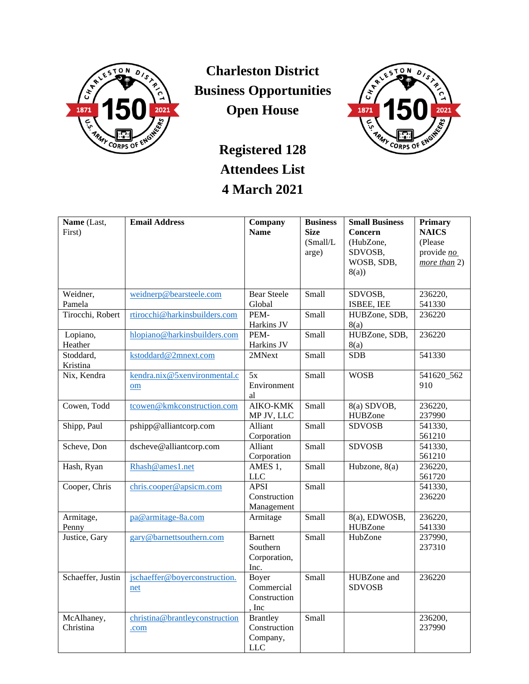

**Charleston District Business Opportunities Open House**



## **Registered 128 Attendees List 4 March 2021**

| Name (Last,             | <b>Email Address</b>           | Company                | <b>Business</b> | <b>Small Business</b> | Primary           |
|-------------------------|--------------------------------|------------------------|-----------------|-----------------------|-------------------|
| First)                  |                                | <b>Name</b>            | <b>Size</b>     | Concern               | <b>NAICS</b>      |
|                         |                                |                        | (Small/L)       | (HubZone,             | (Please           |
|                         |                                |                        | arge)           | SDVOSB,               | provide <i>no</i> |
|                         |                                |                        |                 | WOSB, SDB,            | more than 2)      |
|                         |                                |                        |                 | 8(a)                  |                   |
|                         |                                |                        |                 |                       |                   |
| Weidner,                | weidnerp@bearsteele.com        | <b>Bear Steele</b>     | Small           | SDVOSB,               | 236220,           |
| Pamela                  |                                | Global                 |                 | ISBEE, IEE            | 541330            |
| Tirocchi, Robert        | rtirocchi@harkinsbuilders.com  | PEM-                   | Small           | HUBZone, SDB,         | 236220            |
|                         |                                | Harkins JV             |                 | 8(a)                  |                   |
| Lopiano,                | hlopiano@harkinsbuilders.com   | PEM-                   | Small           | HUBZone, SDB,         | 236220            |
| Heather                 |                                | Harkins JV             |                 | 8(a)                  |                   |
| Stoddard,               | kstoddard@2mnext.com           | 2MNext                 | Small           | <b>SDB</b>            | 541330            |
| Kristina                |                                |                        |                 |                       |                   |
| Nix, Kendra             | kendra.nix@5xenvironmental.c   | 5x                     | Small           | <b>WOSB</b>           | 541620_562        |
|                         | om                             | Environment            |                 |                       | 910               |
|                         |                                | al                     |                 |                       |                   |
| Cowen, Todd             | tcowen@kmkconstruction.com     | AIKO-KMK               | Small           | 8(a) SDVOB,           | 236220,           |
|                         |                                | MP JV, LLC             |                 | <b>HUBZone</b>        | 237990            |
| Shipp, Paul             | pshipp@alliantcorp.com         | Alliant                | Small           | <b>SDVOSB</b>         | 541330,           |
|                         |                                | Corporation            |                 |                       | 561210            |
| Scheve, Don             | dscheve@alliantcorp.com        | Alliant                | Small           | <b>SDVOSB</b>         | 541330,           |
|                         |                                | Corporation            |                 |                       | 561210            |
| Hash, Ryan              | Rhash@ames1.net                | AMES 1,                | Small           | Hubzone, 8(a)         | 236220,           |
|                         |                                | LLC                    |                 |                       | 561720            |
| Cooper, Chris           | chris.cooper@apsicm.com        | <b>APSI</b>            | Small           |                       | 541330,           |
|                         |                                | Construction           |                 |                       | 236220            |
|                         |                                | Management             |                 |                       |                   |
| Armitage,               | pa@armitage-8a.com             | Armitage               | Small           | 8(a), EDWOSB,         | 236220,           |
| Penny                   |                                |                        |                 | <b>HUBZone</b>        | 541330            |
| Justice, Gary           | gary@barnettsouthern.com       | <b>Barnett</b>         | Small           | HubZone               | 237990,           |
|                         |                                | Southern               |                 |                       | 237310            |
|                         |                                | Corporation,           |                 |                       |                   |
|                         |                                | Inc.                   |                 |                       |                   |
| Schaeffer, Justin       | jschaeffer@boyerconstruction.  | Boyer                  | Small           | HUBZone and           | 236220            |
|                         | net                            | Commercial             |                 | <b>SDVOSB</b>         |                   |
|                         |                                | Construction<br>, Inc  |                 |                       |                   |
|                         |                                | <b>Brantley</b>        | Small           |                       |                   |
| McAlhaney,<br>Christina | christina@brantleyconstruction | Construction           |                 |                       | 236200,<br>237990 |
|                         | .com                           |                        |                 |                       |                   |
|                         |                                | Company,<br><b>LLC</b> |                 |                       |                   |
|                         |                                |                        |                 |                       |                   |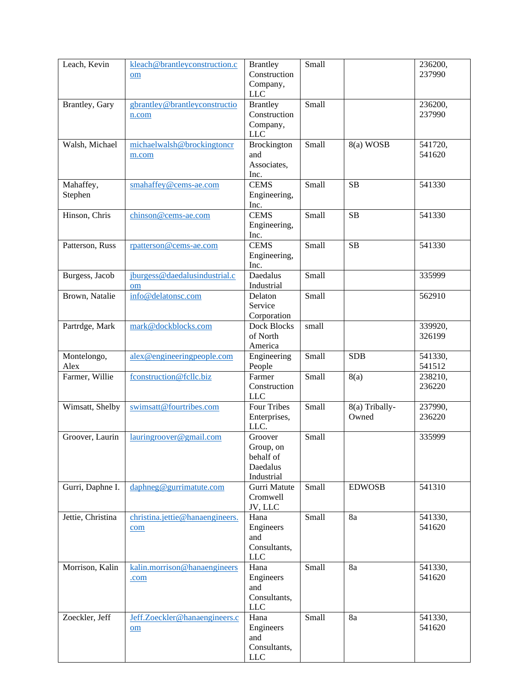| Leach, Kevin         | kleach@brantleyconstruction.c<br>om    | <b>Brantley</b><br>Construction<br>Company,<br>LLC          | Small |                         | 236200,<br>237990 |
|----------------------|----------------------------------------|-------------------------------------------------------------|-------|-------------------------|-------------------|
| Brantley, Gary       | gbrantley@brantleyconstructio<br>n.com | <b>Brantley</b><br>Construction<br>Company,<br><b>LLC</b>   | Small |                         | 236200,<br>237990 |
| Walsh, Michael       | michaelwalsh@brockingtoncr<br>m.com    | Brockington<br>and<br>Associates,<br>Inc.                   | Small | 8(a) WOSB               | 541720,<br>541620 |
| Mahaffey,<br>Stephen | smahaffey@cems-ae.com                  | <b>CEMS</b><br>Engineering,<br>Inc.                         | Small | SB                      | 541330            |
| Hinson, Chris        | chinson@cems-ae.com                    | <b>CEMS</b><br>Engineering,<br>Inc.                         | Small | SB                      | 541330            |
| Patterson, Russ      | rpatterson@cems-ae.com                 | <b>CEMS</b><br>Engineering,<br>Inc.                         | Small | SB                      | 541330            |
| Burgess, Jacob       | jburgess@daedalusindustrial.c<br>om    | Daedalus<br>Industrial                                      | Small |                         | 335999            |
| Brown, Natalie       | info@delatonsc.com                     | Delaton<br>Service<br>Corporation                           | Small |                         | 562910            |
| Partrdge, Mark       | mark@dockblocks.com                    | Dock Blocks<br>of North<br>America                          | small |                         | 339920,<br>326199 |
| Montelongo,<br>Alex  | alex@engineeringpeople.com             | Engineering<br>People                                       | Small | <b>SDB</b>              | 541330,<br>541512 |
| Farmer, Willie       | fconstruction@fcllc.biz                | Farmer<br>Construction<br><b>LLC</b>                        | Small | 8(a)                    | 238210,<br>236220 |
| Wimsatt, Shelby      | swimsatt@fourtribes.com                | <b>Four Tribes</b><br>Enterprises,<br>LLC.                  | Small | 8(a) Tribally-<br>Owned | 237990,<br>236220 |
| Groover, Laurin      | lauringroover@gmail.com                | Groover<br>Group, on<br>behalf of<br>Daedalus<br>Industrial | Small |                         | 335999            |
| Gurri, Daphne I.     | daphneg@gurrimatute.com                | Gurri Matute<br>Cromwell<br>JV, LLC                         | Small | <b>EDWOSB</b>           | 541310            |
| Jettie, Christina    | christina.jettie@hanaengineers.<br>com | Hana<br>Engineers<br>and<br>Consultants,<br><b>LLC</b>      | Small | 8a                      | 541330,<br>541620 |
| Morrison, Kalin      | kalin.morrison@hanaengineers<br>.com   | Hana<br>Engineers<br>and<br>Consultants,<br><b>LLC</b>      | Small | 8a                      | 541330,<br>541620 |
| Zoeckler, Jeff       | Jeff.Zoeckler@hanaengineers.c<br>om    | Hana<br>Engineers<br>and<br>Consultants,<br><b>LLC</b>      | Small | 8a                      | 541330,<br>541620 |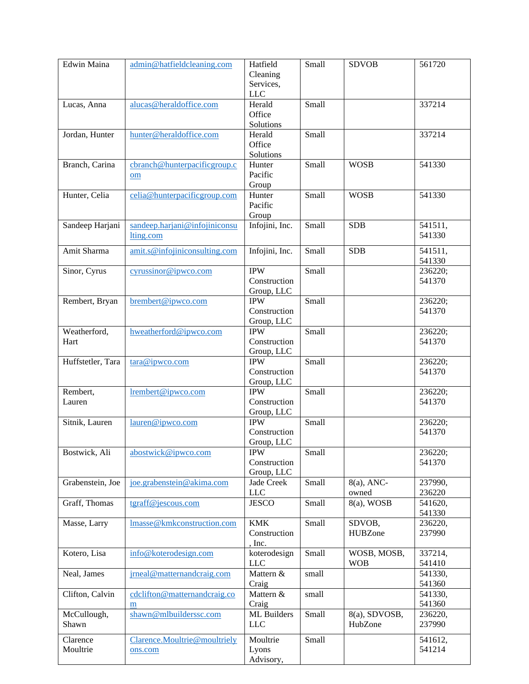| Edwin Maina       | admin@hatfieldcleaning.com    | Hatfield       | Small | <b>SDVOB</b>   | 561720  |
|-------------------|-------------------------------|----------------|-------|----------------|---------|
|                   |                               | Cleaning       |       |                |         |
|                   |                               | Services,      |       |                |         |
|                   |                               | LLC            |       |                |         |
|                   |                               |                |       |                |         |
| Lucas, Anna       | alucas@heraldoffice.com       | Herald         | Small |                | 337214  |
|                   |                               | Office         |       |                |         |
|                   |                               | Solutions      |       |                |         |
| Jordan, Hunter    | hunter@heraldoffice.com       | Herald         | Small |                | 337214  |
|                   |                               | Office         |       |                |         |
|                   |                               | Solutions      |       |                |         |
| Branch, Carina    | cbranch@hunterpacificgroup.c  | Hunter         | Small | <b>WOSB</b>    | 541330  |
|                   |                               | Pacific        |       |                |         |
|                   | om                            |                |       |                |         |
|                   |                               | Group          |       |                |         |
| Hunter, Celia     | celia@hunterpacificgroup.com  | Hunter         | Small | <b>WOSB</b>    | 541330  |
|                   |                               | Pacific        |       |                |         |
|                   |                               | Group          |       |                |         |
| Sandeep Harjani   | sandeep.harjani@infojiniconsu | Infojini, Inc. | Small | <b>SDB</b>     | 541511, |
|                   | lting.com                     |                |       |                | 541330  |
|                   |                               |                |       |                |         |
| Amit Sharma       | amit.s@infojiniconsulting.com | Infojini, Inc. | Small | <b>SDB</b>     | 541511, |
|                   |                               |                |       |                | 541330  |
| Sinor, Cyrus      | cyrussinor@ipwco.com          | <b>IPW</b>     | Small |                | 236220; |
|                   |                               |                |       |                |         |
|                   |                               | Construction   |       |                | 541370  |
|                   |                               | Group, LLC     |       |                |         |
| Rembert, Bryan    | brembert@ipwco.com            | <b>IPW</b>     | Small |                | 236220; |
|                   |                               | Construction   |       |                | 541370  |
|                   |                               | Group, LLC     |       |                |         |
| Weatherford,      | hweatherford@ipwco.com        | <b>IPW</b>     | Small |                | 236220; |
|                   |                               | Construction   |       |                | 541370  |
| Hart              |                               |                |       |                |         |
|                   |                               | Group, LLC     |       |                |         |
| Huffstetler, Tara | tara@ipwco.com                | <b>IPW</b>     | Small |                | 236220; |
|                   |                               | Construction   |       |                | 541370  |
|                   |                               | Group, LLC     |       |                |         |
| Rembert,          | lrembert@ipwco.com            | <b>IPW</b>     | Small |                | 236220; |
| Lauren            |                               | Construction   |       |                | 541370  |
|                   |                               |                |       |                |         |
|                   |                               | Group, LLC     |       |                |         |
| Sitnik, Lauren    | lauren@ipwco.com              | <b>IPW</b>     | Small |                | 236220; |
|                   |                               | Construction   |       |                | 541370  |
|                   |                               | Group, LLC     |       |                |         |
| Bostwick, Ali     | abostwick@ipwco.com           | <b>IPW</b>     | Small |                | 236220; |
|                   |                               | Construction   |       |                | 541370  |
|                   |                               | Group, LLC     |       |                |         |
|                   |                               |                |       |                |         |
| Grabenstein, Joe  | joe.grabenstein@akima.com     | Jade Creek     | Small | $8(a)$ , ANC-  | 237990, |
|                   |                               | ${\rm LLC}$    |       | owned          | 236220  |
| Graff, Thomas     | tgraff@jescous.com            | <b>JESCO</b>   | Small | $8(a)$ , WOSB  | 541620, |
|                   |                               |                |       |                | 541330  |
| Masse, Larry      | lmasse@kmkconstruction.com    | <b>KMK</b>     | Small | SDVOB,         | 236220, |
|                   |                               | Construction   |       | <b>HUBZone</b> | 237990  |
|                   |                               | , Inc.         |       |                |         |
|                   |                               |                |       |                |         |
| Kotero, Lisa      | info@koterodesign.com         | koterodesign   | Small | WOSB, MOSB,    | 337214, |
|                   |                               | <b>LLC</b>     |       | <b>WOB</b>     | 541410  |
| Neal, James       | jrneal@matternandcraig.com    | Mattern &      | small |                | 541330, |
|                   |                               | Craig          |       |                | 541360  |
| Clifton, Calvin   | cdclifton@matternandcraig.co  | Mattern &      | small |                | 541330, |
|                   | m                             | Craig          |       |                | 541360  |
|                   |                               |                |       |                |         |
| McCullough,       | shawn@mlbuilderssc.com        | ML Builders    | Small | 8(a), SDVOSB,  | 236220, |
| Shawn             |                               | <b>LLC</b>     |       | HubZone        | 237990  |
| Clarence          | Clarence.Moultrie@moultriely  | Moultrie       | Small |                | 541612, |
|                   |                               |                |       |                |         |
| Moultrie          | ons.com                       | Lyons          |       |                | 541214  |
|                   |                               | Advisory,      |       |                |         |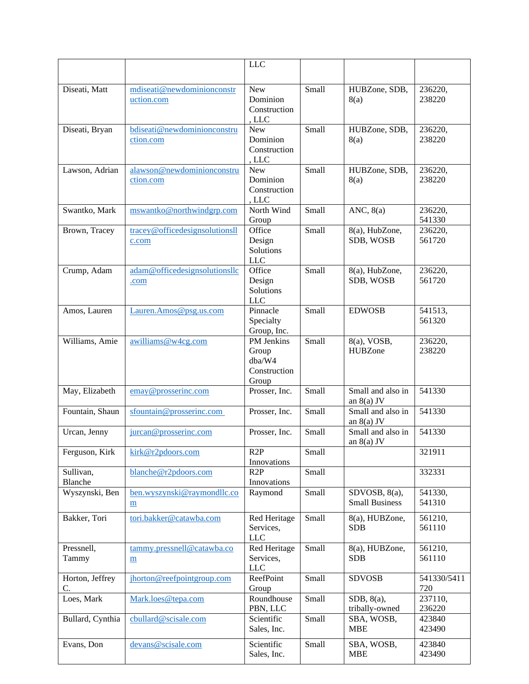|                  |                                | <b>LLC</b>            |       |                       |                   |
|------------------|--------------------------------|-----------------------|-------|-----------------------|-------------------|
|                  |                                |                       |       |                       |                   |
|                  |                                |                       |       |                       |                   |
| Diseati, Matt    | mdiseati@newdominionconstr     | New<br>Dominion       | Small | HUBZone, SDB,         | 236220,<br>238220 |
|                  | uction.com                     | Construction          |       | 8(a)                  |                   |
|                  |                                | , LLC                 |       |                       |                   |
| Diseati, Bryan   | bdiseati@newdominionconstru    | New                   | Small | HUBZone, SDB,         | 236220,           |
|                  | ction.com                      | Dominion              |       | 8(a)                  | 238220            |
|                  |                                | Construction          |       |                       |                   |
|                  |                                | , LLC                 |       |                       |                   |
| Lawson, Adrian   | alawson@newdominionconstru     | <b>New</b>            | Small | HUBZone, SDB,         | 236220,           |
|                  | ction.com                      | Dominion              |       | 8(a)                  | 238220            |
|                  |                                | Construction          |       |                       |                   |
|                  |                                | , LLC                 |       |                       |                   |
| Swantko, Mark    | mswantko@northwindgrp.com      | North Wind            | Small | ANC, 8(a)             | 236220,           |
|                  |                                | Group                 |       |                       | 541330            |
| Brown, Tracey    | tracey@officedesignsolutionsll | Office                | Small | 8(a), HubZone,        | 236220,           |
|                  | c.com                          | Design                |       | SDB, WOSB             | 561720            |
|                  |                                | Solutions             |       |                       |                   |
|                  |                                | <b>LLC</b>            |       |                       |                   |
| Crump, Adam      | adam@officedesignsolutionsllc  | Office                | Small | 8(a), HubZone,        | 236220,           |
|                  | .com                           | Design                |       | SDB, WOSB             | 561720            |
|                  |                                | Solutions             |       |                       |                   |
|                  |                                | <b>LLC</b>            |       |                       |                   |
| Amos, Lauren     | Lauren.Amos@psg.us.com         | Pinnacle              | Small | <b>EDWOSB</b>         | 541513,           |
|                  |                                | Specialty             |       |                       | 561320            |
|                  |                                | Group, Inc.           |       |                       |                   |
| Williams, Amie   | awilliams@w4cg.com             | PM Jenkins            | Small | 8(a), VOSB,           | 236220,           |
|                  |                                | Group                 |       | <b>HUBZone</b>        | 238220            |
|                  |                                | dba/W4                |       |                       |                   |
|                  |                                | Construction<br>Group |       |                       |                   |
| May, Elizabeth   | emay@prosserinc.com            | Prosser, Inc.         | Small | Small and also in     | 541330            |
|                  |                                |                       |       | an $8(a)$ JV          |                   |
| Fountain, Shaun  | sfountain@prosserinc.com       | Prosser, Inc.         | Small | Small and also in     | 541330            |
|                  |                                |                       |       | an $8(a)$ JV          |                   |
| Urcan, Jenny     | jurcan@prosserinc.com          | Prosser, Inc.         | Small | Small and also in     | 541330            |
|                  |                                |                       |       | an $8(a)$ JV          |                   |
| Ferguson, Kirk   | kirk@r2pdoors.com              | R2P                   | Small |                       | 321911            |
|                  |                                | Innovations           |       |                       |                   |
| Sullivan,        | blanche@r2pdoors.com           | R2P                   | Small |                       | 332331            |
| Blanche          |                                | Innovations           |       |                       |                   |
| Wyszynski, Ben   | ben.wyszynski@raymondllc.co    | Raymond               | Small | SDVOSB, 8(a),         | 541330,           |
|                  | m                              |                       |       | <b>Small Business</b> | 541310            |
| Bakker, Tori     | tori.bakker@catawba.com        | Red Heritage          | Small | 8(a), HUBZone,        | 561210,           |
|                  |                                | Services,             |       | <b>SDB</b>            | 561110            |
|                  |                                | <b>LLC</b>            |       |                       |                   |
| Pressnell,       | tammy.pressnell@catawba.co     | Red Heritage          | Small | 8(a), HUBZone,        | 561210,           |
| Tammy            | m                              | Services,             |       | <b>SDB</b>            | 561110            |
|                  |                                | <b>LLC</b>            |       |                       |                   |
| Horton, Jeffrey  | jhorton@reefpointgroup.com     | ReefPoint             | Small | <b>SDVOSB</b>         | 541330/5411       |
| C.               |                                | Group                 |       |                       | 720               |
| Loes, Mark       | Mark.loes@tepa.com             | Roundhouse            | Small | SDB, 8(a),            | 237110,           |
|                  |                                | PBN, LLC              |       | tribally-owned        | 236220            |
| Bullard, Cynthia | cbullard@scisale.com           | Scientific            | Small | SBA, WOSB,            | 423840            |
|                  |                                | Sales, Inc.           |       | <b>MBE</b>            | 423490            |
| Evans, Don       | devans@scisale.com             | Scientific            | Small | SBA, WOSB,            | 423840            |
|                  |                                | Sales, Inc.           |       | <b>MBE</b>            | 423490            |
|                  |                                |                       |       |                       |                   |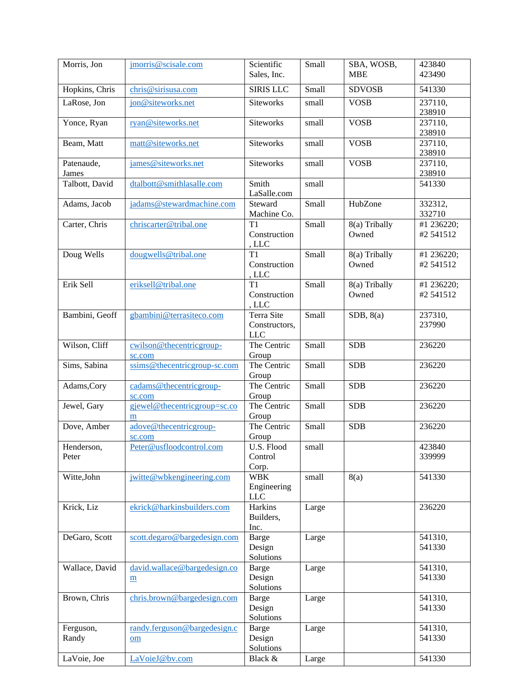| Morris, Jon    | jmorris@scisale.com          | Scientific         | Small | SBA, WOSB,    | 423840     |
|----------------|------------------------------|--------------------|-------|---------------|------------|
|                |                              | Sales, Inc.        |       | <b>MBE</b>    | 423490     |
|                |                              |                    |       |               |            |
| Hopkins, Chris | chris@sirisusa.com           | <b>SIRIS LLC</b>   | Small | <b>SDVOSB</b> | 541330     |
| LaRose, Jon    | jon@siteworks.net            | <b>Siteworks</b>   | small | <b>VOSB</b>   | 237110,    |
|                |                              |                    |       |               | 238910     |
| Yonce, Ryan    | ryan@siteworks.net           | <b>Siteworks</b>   | small | <b>VOSB</b>   | 237110,    |
|                |                              |                    |       |               | 238910     |
| Beam, Matt     | matt@siteworks.net           | <b>Siteworks</b>   | small | <b>VOSB</b>   | 237110,    |
|                |                              |                    |       |               | 238910     |
| Patenaude,     | james@siteworks.net          | <b>Siteworks</b>   | small | <b>VOSB</b>   | 237110,    |
| James          |                              |                    |       |               | 238910     |
| Talbott, David | dtalbott@smithlasalle.com    | Smith              | small |               | 541330     |
|                |                              | LaSalle.com        |       |               |            |
| Adams, Jacob   | jadams@stewardmachine.com    | Steward            | Small | HubZone       | 332312,    |
|                |                              | Machine Co.        |       |               | 332710     |
| Carter, Chris  | chriscarter@tribal.one       | T1                 | Small | 8(a) Tribally | #1 236220; |
|                |                              | Construction       |       | Owned         | #2 541512  |
|                |                              |                    |       |               |            |
|                |                              | , LLC              |       |               |            |
| Doug Wells     | dougwells@tribal.one         | T1                 | Small | 8(a) Tribally | #1 236220; |
|                |                              | Construction       |       | Owned         | #2 541512  |
|                |                              | , LLC              |       |               |            |
| Erik Sell      | eriksell@tribal.one          | T1                 | Small | 8(a) Tribally | #1 236220; |
|                |                              | Construction       |       | Owned         | #2 541512  |
|                |                              | , LLC              |       |               |            |
| Bambini, Geoff | gbambini@terrasiteco.com     | Terra Site         | Small | SDB, 8(a)     | 237310,    |
|                |                              | Constructors,      |       |               | 237990     |
|                |                              | <b>LLC</b>         |       |               |            |
| Wilson, Cliff  | cwilson@thecentricgroup-     | The Centric        | Small | <b>SDB</b>    | 236220     |
|                | sc.com                       | Group              |       |               |            |
| Sims, Sabina   | ssims@thecentricgroup-sc.com | The Centric        | Small | <b>SDB</b>    | 236220     |
|                |                              | Group              |       |               |            |
| Adams, Cory    | cadams@thecentricgroup-      | The Centric        | Small | <b>SDB</b>    | 236220     |
|                |                              |                    |       |               |            |
|                | sc.com                       | Group              |       |               |            |
| Jewel, Gary    | gjewel@thecentricgroup=sc.co | The Centric        | Small | <b>SDB</b>    | 236220     |
|                | ${\bf m}$                    | Group              |       |               |            |
| Dove, Amber    | adove@thecentricgroup-       | The Centric        | Small | <b>SDB</b>    | 236220     |
|                | sc.com                       | Group              |       |               |            |
| Henderson,     | Peter@usfloodcontrol.com     | U.S. Flood   small |       |               | 423840     |
| Peter          |                              | Control            |       |               | 339999     |
|                |                              | Corp.              |       |               |            |
| Witte, John    | jwitte@wbkengineering.com    | <b>WBK</b>         | small | 8(a)          | 541330     |
|                |                              | Engineering        |       |               |            |
|                |                              | <b>LLC</b>         |       |               |            |
| Krick, Liz     | ekrick@harkinsbuilders.com   | Harkins            | Large |               | 236220     |
|                |                              | Builders,          |       |               |            |
|                |                              | Inc.               |       |               |            |
| DeGaro, Scott  | scott.degaro@bargedesign.com | Barge              | Large |               | 541310,    |
|                |                              | Design             |       |               | 541330     |
|                |                              |                    |       |               |            |
|                |                              | Solutions          |       |               |            |
| Wallace, David | david.wallace@bargedesign.co | <b>Barge</b>       | Large |               | 541310,    |
|                | m                            | Design             |       |               | 541330     |
|                |                              | Solutions          |       |               |            |
| Brown, Chris   | chris.brown@bargedesign.com  | <b>Barge</b>       | Large |               | 541310,    |
|                |                              | Design             |       |               | 541330     |
|                |                              | Solutions          |       |               |            |
| Ferguson,      | randy.ferguson@bargedesign.c | <b>Barge</b>       | Large |               | 541310,    |
| Randy          | om                           | Design             |       |               | 541330     |
|                |                              | Solutions          |       |               |            |
| LaVoie, Joe    | LaVoieJ@bv.com               | Black &            | Large |               | 541330     |
|                |                              |                    |       |               |            |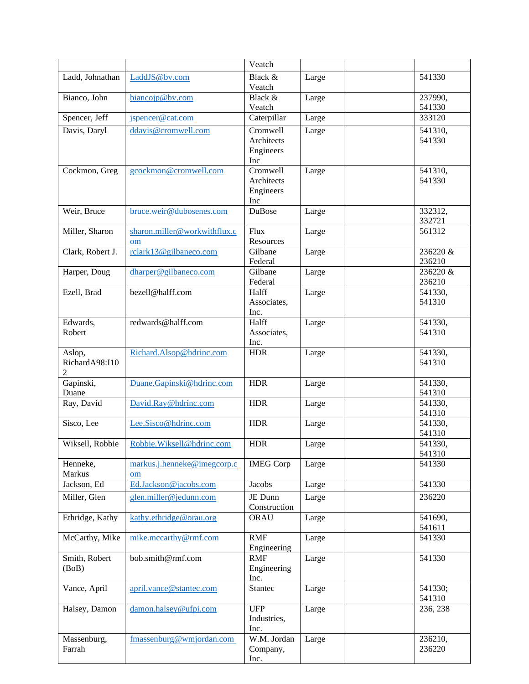|                       |                              | Veatch              |       |                   |
|-----------------------|------------------------------|---------------------|-------|-------------------|
| Ladd, Johnathan       | LaddJS@bv.com                | Black &             | Large | 541330            |
|                       |                              | Veatch              |       |                   |
| Bianco, John          | biancojp@bv.com              | Black &             | Large | 237990,           |
|                       |                              | Veatch              |       | 541330            |
| Spencer, Jeff         | jspencer@cat.com             | Caterpillar         | Large | 333120            |
| Davis, Daryl          | ddavis@cromwell.com          | Cromwell            | Large | 541310,           |
|                       |                              | Architects          |       | 541330            |
|                       |                              | Engineers<br>Inc    |       |                   |
| Cockmon, Greg         | gcockmon@cromwell.com        | Cromwell            | Large | 541310,           |
|                       |                              | Architects          |       | 541330            |
|                       |                              | Engineers           |       |                   |
|                       |                              | Inc                 |       |                   |
| Weir, Bruce           | bruce.weir@dubosenes.com     | DuBose              | Large | 332312,           |
|                       |                              |                     |       | 332721            |
| Miller, Sharon        | sharon.miller@workwithflux.c | Flux<br>Resources   | Large | 561312            |
| Clark, Robert J.      | om<br>rclark13@gilbaneco.com | Gilbane             | Large | 236220 &          |
|                       |                              | Federal             |       | 236210            |
| Harper, Doug          | dharper@gilbaneco.com        | Gilbane             | Large | 236220 &          |
|                       |                              | Federal             |       | 236210            |
| Ezell, Brad           | bezell@halff.com             | Halff               | Large | 541330,           |
|                       |                              | Associates,         |       | 541310            |
|                       |                              | Inc.                |       |                   |
| Edwards,              | redwards@halff.com           | Halff               | Large | 541330,           |
| Robert                |                              | Associates,         |       | 541310            |
| Aslop,                | Richard.Alsop@hdrinc.com     | Inc.<br><b>HDR</b>  |       | 541330,           |
| RichardA98:I10        |                              |                     | Large | 541310            |
| 2                     |                              |                     |       |                   |
| Gapinski,             | Duane.Gapinski@hdrinc.com    | <b>HDR</b>          | Large | 541330,           |
| Duane                 |                              |                     |       | 541310            |
| Ray, David            | David.Ray@hdrinc.com         | <b>HDR</b>          | Large | 541330,           |
|                       |                              |                     |       | 541310            |
| Sisco, Lee            | Lee.Sisco@hdrinc.com         | <b>HDR</b>          | Large | 541330,<br>541310 |
| Wiksell, Robbie       | Robbie.Wiksell@hdrinc.com    | <b>HDR</b>          | Large | 541330.           |
|                       |                              |                     |       | 541310            |
| Henneke,              | markus.j.henneke@imegcorp.c  | <b>IMEG Corp</b>    | Large | 541330            |
| Markus                | om                           |                     |       |                   |
| Jackson, Ed           | Ed.Jackson@jacobs.com        | Jacobs              | Large | 541330            |
| Miller, Glen          | glen.miller@jedunn.com       | JE Dunn             | Large | 236220            |
|                       |                              | Construction        |       |                   |
| Ethridge, Kathy       | kathy.ethridge@orau.org      | ORAU                | Large | 541690,           |
|                       |                              | <b>RMF</b>          |       | 541611            |
| McCarthy, Mike        | mike.mccarthy@rmf.com        | Engineering         | Large | 541330            |
| Smith, Robert         | bob.smith@rmf.com            | <b>RMF</b>          | Large | 541330            |
| (BoB)                 |                              | Engineering         |       |                   |
|                       |                              | Inc.                |       |                   |
| Vance, April          | april.vance@stantec.com      | Stantec             | Large | 541330;           |
|                       |                              |                     |       | 541310            |
| Halsey, Damon         | damon.halsey@ufpi.com        | <b>UFP</b>          | Large | 236, 238          |
|                       |                              | Industries,         |       |                   |
|                       | fmassenburg@wmjordan.com     | Inc.<br>W.M. Jordan |       | 236210,           |
| Massenburg,<br>Farrah |                              | Company,            | Large | 236220            |
|                       |                              | Inc.                |       |                   |